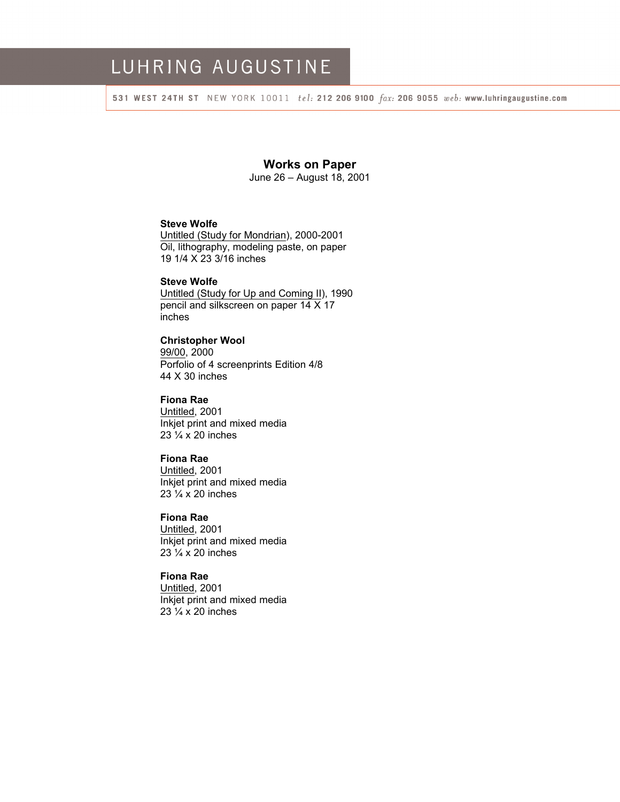# LUHRING AUGUSTINE

531 WEST 24TH ST NEW YORK 10011 tel: 212 206 9100 fax: 206 9055 web: www.luhringaugustine.com

## **Works on Paper**

June 26 – August 18, 2001

# **Steve Wolfe**

Untitled (Study for Mondrian), 2000-2001 Oil, lithography, modeling paste, on paper 19 1/4 X 23 3/16 inches

## **Steve Wolfe**

Untitled (Study for Up and Coming II), 1990 pencil and silkscreen on paper 14 X 17 inches

#### **Christopher Wool**  99/00, 2000 Porfolio of 4 screenprints Edition 4/8 44 X 30 inches

**Fiona Rae**  Untitled, 2001

Inkjet print and mixed media  $23\frac{1}{4}$  x 20 inches

## **Fiona Rae**

Untitled, 2001 Inkjet print and mixed media 23 ¼ x 20 inches

## **Fiona Rae**

Untitled, 2001 Inkjet print and mixed media  $23\frac{1}{4}$  x 20 inches

## **Fiona Rae**

Untitled, 2001 Inkjet print and mixed media 23 ¼ x 20 inches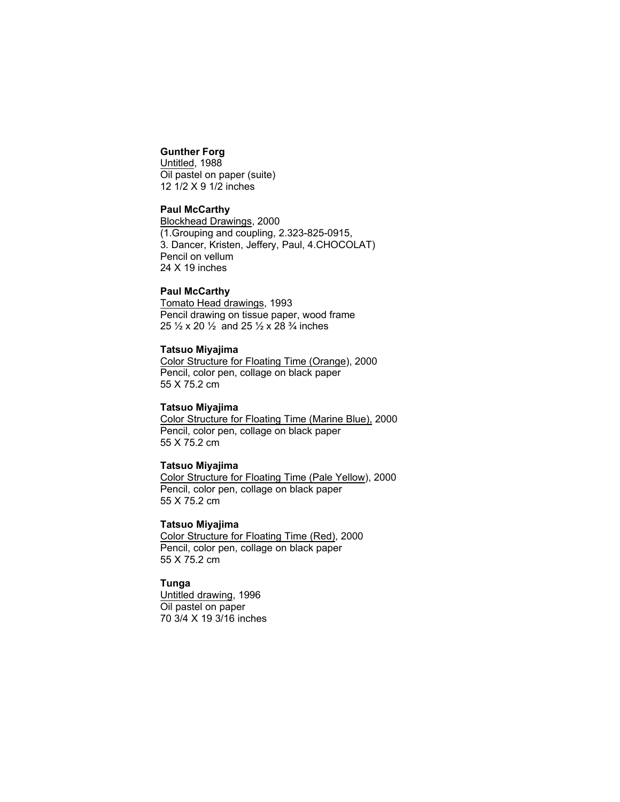## **Gunther Forg**

Untitled, 1988 Oil pastel on paper (suite) 12 1/2 X 9 1/2 inches

#### **Paul McCarthy**

Blockhead Drawings, 2000 (1.Grouping and coupling, 2.323-825-0915, 3. Dancer, Kristen, Jeffery, Paul, 4.CHOCOLAT) Pencil on vellum 24 X 19 inches

#### **Paul McCarthy**

Tomato Head drawings, 1993 Pencil drawing on tissue paper, wood frame 25 ½ x 20 ½ and 25 ½ x 28 ¾ inches

#### **Tatsuo Miyajima**

Color Structure for Floating Time (Orange), 2000 Pencil, color pen, collage on black paper 55 X 75.2 cm

#### **Tatsuo Miyajima**

Color Structure for Floating Time (Marine Blue), 2000 Pencil, color pen, collage on black paper 55 X 75.2 cm

#### **Tatsuo Miyajima**

Color Structure for Floating Time (Pale Yellow), 2000 Pencil, color pen, collage on black paper 55 X 75.2 cm

#### **Tatsuo Miyajima**

Color Structure for Floating Time (Red), 2000 Pencil, color pen, collage on black paper 55 X 75.2 cm

## **Tunga**

Untitled drawing, 1996 Oil pastel on paper 70 3/4 X 19 3/16 inches